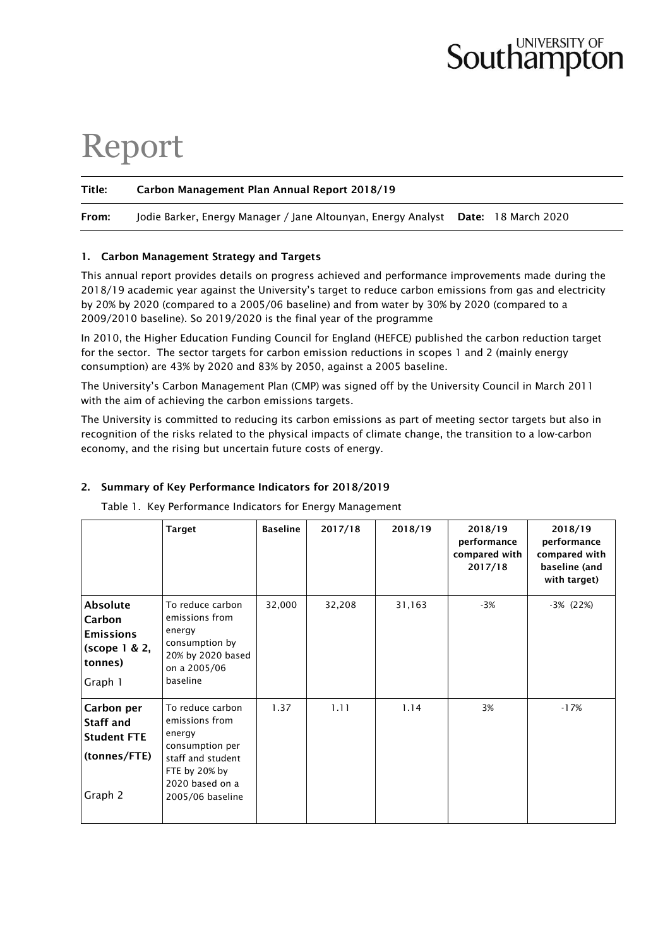# **Southampton**

## Report

#### Title: Carbon Management Plan Annual Report 2018/19

From: Jodie Barker, Energy Manager / Jane Altounyan, Energy Analyst Date: 18 March 2020

#### 1. Carbon Management Strategy and Targets

This annual report provides details on progress achieved and performance improvements made during the 2018/19 academic year against the University's target to reduce carbon emissions from gas and electricity by 20% by 2020 (compared to a 2005/06 baseline) and from water by 30% by 2020 (compared to a 2009/2010 baseline). So 2019/2020 is the final year of the programme

In 2010, the Higher Education Funding Council for England (HEFCE) published the carbon reduction target for the sector. The sector targets for carbon emission reductions in scopes 1 and 2 (mainly energy consumption) are 43% by 2020 and 83% by 2050, against a 2005 baseline.

The University's Carbon Management Plan (CMP) was signed off by the University Council in March 2011 with the aim of achieving the carbon emissions targets.

The University is committed to reducing its carbon emissions as part of meeting sector targets but also in recognition of the risks related to the physical impacts of climate change, the transition to a low-carbon economy, and the rising but uncertain future costs of energy.

#### 2. Summary of Key Performance Indicators for 2018/2019

Table 1. Key Performance Indicators for Energy Management

|  | Target | Baseline | 2017/18 | 2018/19 | 2018/19    |
|--|--------|----------|---------|---------|------------|
|  |        |          |         |         | performan  |
|  |        |          |         |         | compared w |

|                                                                                      | <b>Target</b>                                                                                                                                | <b>Baseline</b> | 2017/18 | 2018/19 | 2018/19<br>performance<br>compared with<br>2017/18 | 2018/19<br>performance<br>compared with<br>baseline (and<br>with target) |
|--------------------------------------------------------------------------------------|----------------------------------------------------------------------------------------------------------------------------------------------|-----------------|---------|---------|----------------------------------------------------|--------------------------------------------------------------------------|
| <b>Absolute</b><br>Carbon<br><b>Emissions</b><br>(scope 1 & 2,<br>tonnes)<br>Graph 1 | To reduce carbon<br>emissions from<br>energy<br>consumption by<br>20% by 2020 based<br>on a 2005/06<br>baseline                              | 32,000          | 32,208  | 31,163  | $-3%$                                              | -3% (22%)                                                                |
| Carbon per<br><b>Staff and</b><br><b>Student FTE</b><br>(tonnes/FTE)<br>Graph 2      | To reduce carbon<br>emissions from<br>energy<br>consumption per<br>staff and student<br>FTE by 20% by<br>2020 based on a<br>2005/06 baseline | 1.37            | 1.11    | 1.14    | 3%                                                 | $-17%$                                                                   |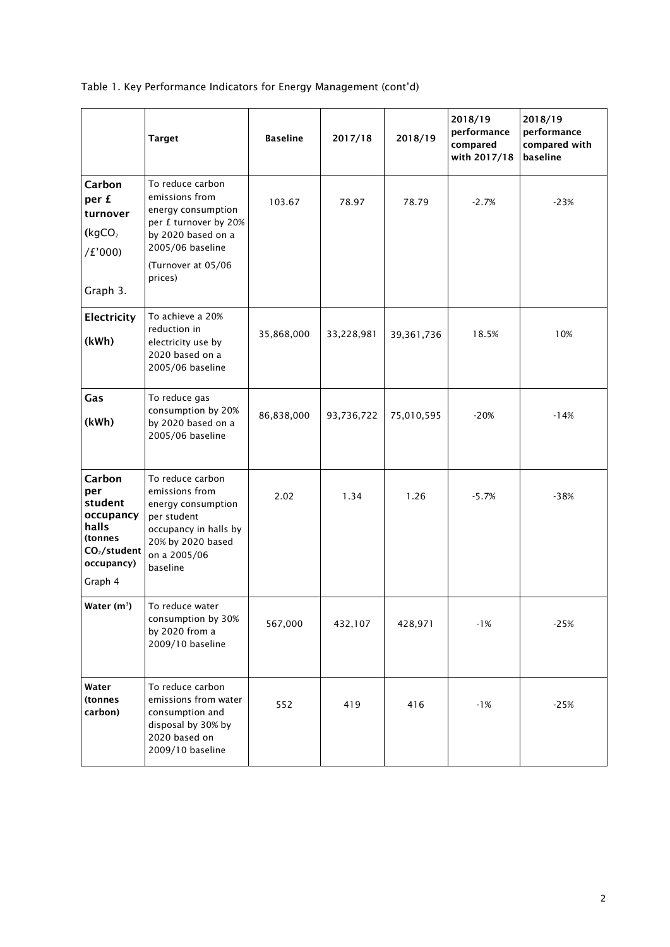Table 1. Key Performance Indicators for Energy Management (cont'd)

|                                                                                                                | <b>Target</b>                                                                                                                                                | <b>Baseline</b> | 2017/18    | 2018/19      | 2018/19<br>performance<br>compared<br>with 2017/18 | 2018/19<br>performance<br>compared with<br>baseline |
|----------------------------------------------------------------------------------------------------------------|--------------------------------------------------------------------------------------------------------------------------------------------------------------|-----------------|------------|--------------|----------------------------------------------------|-----------------------------------------------------|
| Carbon<br>per £<br>turnover<br>(kgCO <sub>2</sub> )<br>/E'000<br>Graph 3.                                      | To reduce carbon<br>emissions from<br>energy consumption<br>per £ turnover by 20%<br>by 2020 based on a<br>2005/06 baseline<br>(Turnover at 05/06<br>prices) | 103.67          | 78.97      | 78.79        | $-2.7%$                                            | $-23%$                                              |
| Electricity<br>(kWh)                                                                                           | To achieve a 20%<br>reduction in<br>electricity use by<br>2020 based on a<br>2005/06 baseline                                                                | 35,868,000      | 33,228,981 | 39, 361, 736 | 18.5%                                              | 10%                                                 |
| Gas<br>(kWh)                                                                                                   | To reduce gas<br>consumption by 20%<br>by 2020 based on a<br>2005/06 baseline                                                                                | 86,838,000      | 93,736,722 | 75,010,595   | $-20%$                                             | $-14%$                                              |
| Carbon<br>per<br>student<br>occupancy<br>halls<br>(tonnes<br>CO <sub>2</sub> /student<br>occupancy)<br>Graph 4 | To reduce carbon<br>emissions from<br>energy consumption<br>per student<br>occupancy in halls by<br>20% by 2020 based<br>on a 2005/06<br>baseline            | 2.02            | 1.34       | 1.26         | $-5.7%$                                            | $-38%$                                              |
| Water (m <sup>3</sup> )                                                                                        | To reduce water<br>consumption by 30%<br>by 2020 from a<br>2009/10 baseline                                                                                  | 567,000         | 432,107    | 428,971      | $-1%$                                              | $-25%$                                              |
| Water<br>(tonnes<br>carbon)                                                                                    | To reduce carbon<br>emissions from water<br>consumption and<br>disposal by 30% by<br>2020 based on<br>2009/10 baseline                                       | 552             | 419        | 416          | $-1%$                                              | $-25%$                                              |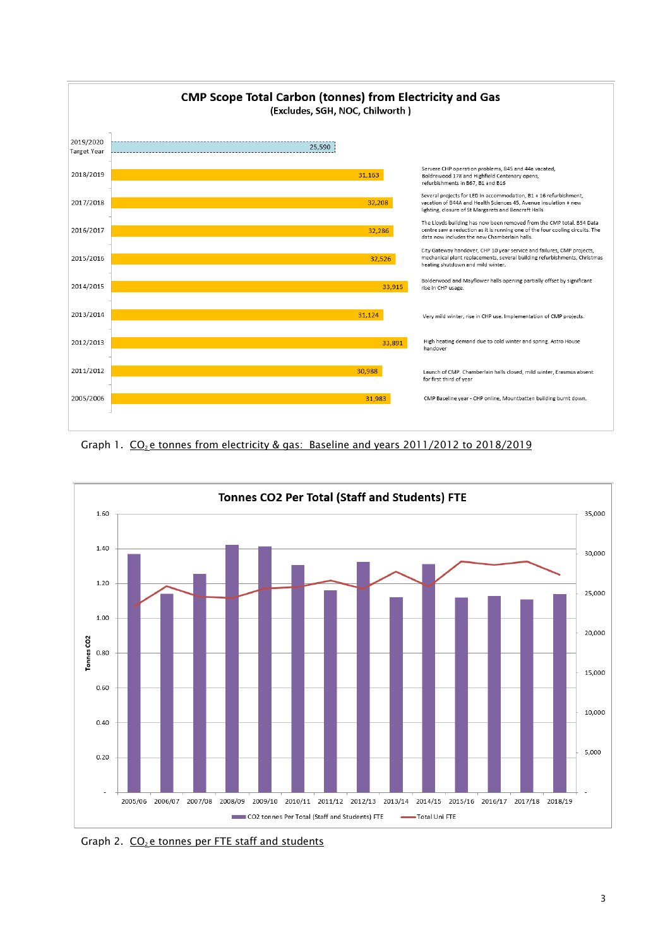

Graph 1.  $CO<sub>2</sub>$  e tonnes from electricity & gas: Baseline and years 2011/2012 to 2018/2019



Graph 2.  $CO<sub>2</sub>$ e tonnes per FTE staff and students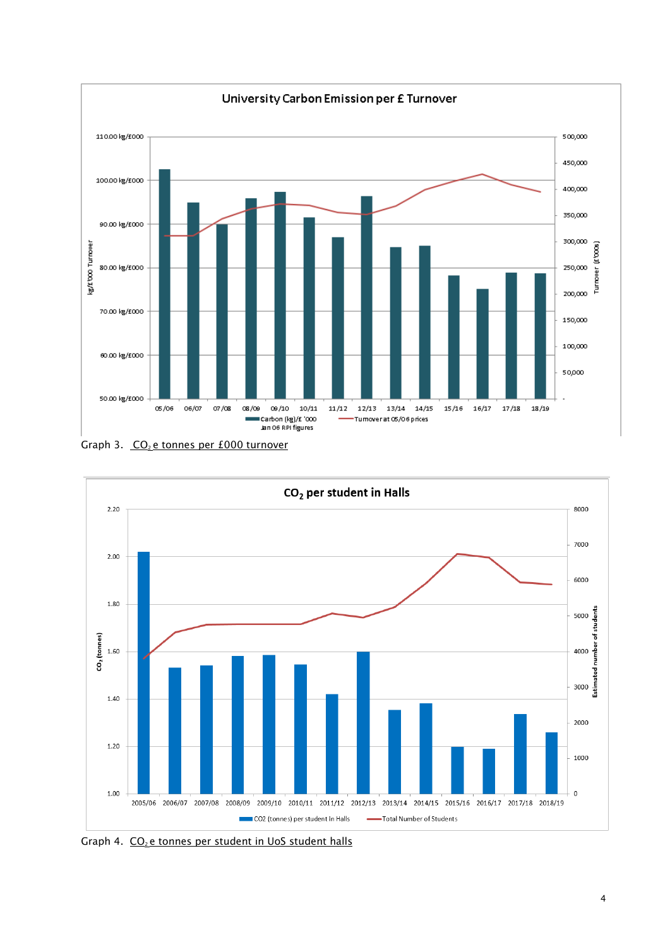

Graph 3.  $CO<sub>2</sub>$ e tonnes per £000 turnover



Graph 4. CO<sub>2</sub> e tonnes per student in UoS student halls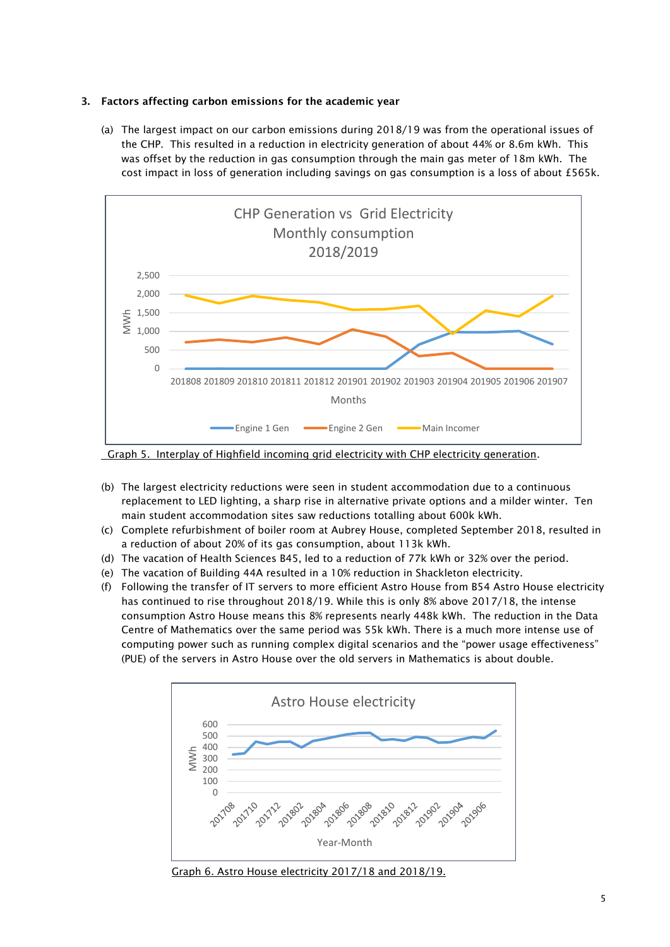#### 3. Factors affecting carbon emissions for the academic year

(a) The largest impact on our carbon emissions during 2018/19 was from the operational issues of the CHP. This resulted in a reduction in electricity generation of about 44% or 8.6m kWh. This was offset by the reduction in gas consumption through the main gas meter of 18m kWh. The cost impact in loss of generation including savings on gas consumption is a loss of about £565k.



Graph 5. Interplay of Highfield incoming grid electricity with CHP electricity generation.

- (b) The largest electricity reductions were seen in student accommodation due to a continuous replacement to LED lighting, a sharp rise in alternative private options and a milder winter. Ten main student accommodation sites saw reductions totalling about 600k kWh.
- (c) Complete refurbishment of boiler room at Aubrey House, completed September 2018, resulted in a reduction of about 20% of its gas consumption, about 113k kWh.
- (d) The vacation of Health Sciences B45, led to a reduction of 77k kWh or 32% over the period.
- (e) The vacation of Building 44A resulted in a 10% reduction in Shackleton electricity.
- (f) Following the transfer of IT servers to more efficient Astro House from B54 Astro House electricity has continued to rise throughout 2018/19. While this is only 8% above 2017/18, the intense consumption Astro House means this 8% represents nearly 448k kWh. The reduction in the Data Centre of Mathematics over the same period was 55k kWh. There is a much more intense use of computing power such as running complex digital scenarios and the "power usage effectiveness" (PUE) of the servers in Astro House over the old servers in Mathematics is about double.



Graph 6. Astro House electricity 2017/18 and 2018/19.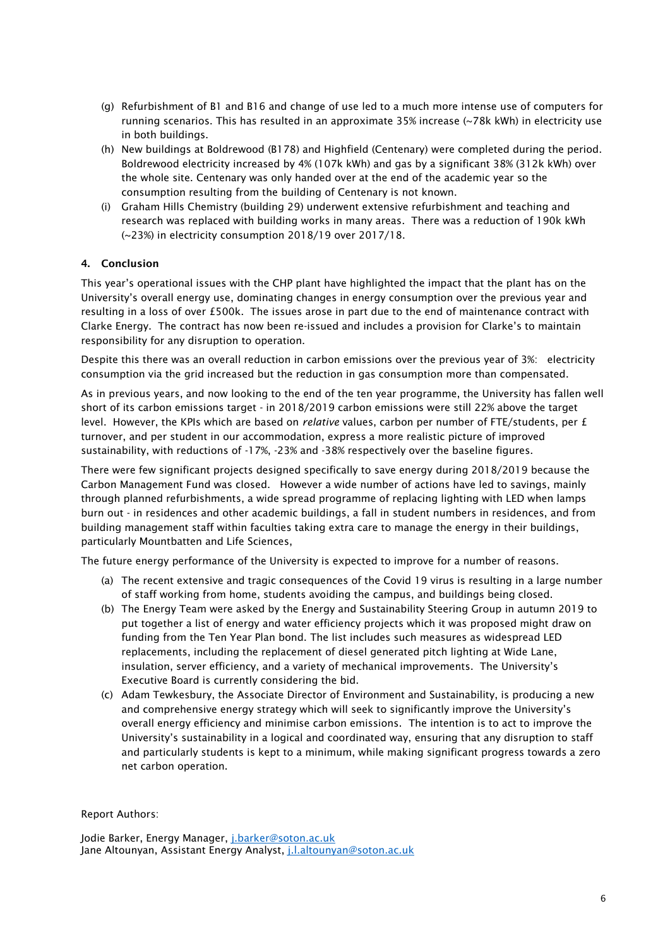- (g) Refurbishment of B1 and B16 and change of use led to a much more intense use of computers for running scenarios. This has resulted in an approximate 35% increase (~78k kWh) in electricity use in both buildings.
- (h) New buildings at Boldrewood (B178) and Highfield (Centenary) were completed during the period. Boldrewood electricity increased by 4% (107k kWh) and gas by a significant 38% (312k kWh) over the whole site. Centenary was only handed over at the end of the academic year so the consumption resulting from the building of Centenary is not known.
- (i) Graham Hills Chemistry (building 29) underwent extensive refurbishment and teaching and research was replaced with building works in many areas. There was a reduction of 190k kWh (~23%) in electricity consumption 2018/19 over 2017/18.

### 4. Conclusion

This year's operational issues with the CHP plant have highlighted the impact that the plant has on the University's overall energy use, dominating changes in energy consumption over the previous year and resulting in a loss of over £500k. The issues arose in part due to the end of maintenance contract with Clarke Energy. The contract has now been re-issued and includes a provision for Clarke's to maintain responsibility for any disruption to operation.

Despite this there was an overall reduction in carbon emissions over the previous year of 3%: electricity consumption via the grid increased but the reduction in gas consumption more than compensated.

As in previous years, and now looking to the end of the ten year programme, the University has fallen well short of its carbon emissions target - in 2018/2019 carbon emissions were still 22% above the target level. However, the KPIs which are based on *relative* values, carbon per number of FTE/students, per £ turnover, and per student in our accommodation, express a more realistic picture of improved sustainability, with reductions of -17%, -23% and -38% respectively over the baseline figures.

There were few significant projects designed specifically to save energy during 2018/2019 because the Carbon Management Fund was closed. However a wide number of actions have led to savings, mainly through planned refurbishments, a wide spread programme of replacing lighting with LED when lamps burn out - in residences and other academic buildings, a fall in student numbers in residences, and from building management staff within faculties taking extra care to manage the energy in their buildings, particularly Mountbatten and Life Sciences,

The future energy performance of the University is expected to improve for a number of reasons.

- (a) The recent extensive and tragic consequences of the Covid 19 virus is resulting in a large number of staff working from home, students avoiding the campus, and buildings being closed.
- (b) The Energy Team were asked by the Energy and Sustainability Steering Group in autumn 2019 to put together a list of energy and water efficiency projects which it was proposed might draw on funding from the Ten Year Plan bond. The list includes such measures as widespread LED replacements, including the replacement of diesel generated pitch lighting at Wide Lane, insulation, server efficiency, and a variety of mechanical improvements. The University's Executive Board is currently considering the bid.
- (c) Adam Tewkesbury, the Associate Director of Environment and Sustainability, is producing a new and comprehensive energy strategy which will seek to significantly improve the University's overall energy efficiency and minimise carbon emissions. The intention is to act to improve the University's sustainability in a logical and coordinated way, ensuring that any disruption to staff and particularly students is kept to a minimum, while making significant progress towards a zero net carbon operation.

Report Authors:

Jodie Barker, Energy Manager, [j.barker@soton.ac.uk](mailto:j.barker@soton.ac.uk) Jane Altounyan, Assistant Energy Analyst, [j.l.altounyan@soton.ac.uk](mailto:j.l.altounyan@soton.ac.uk)